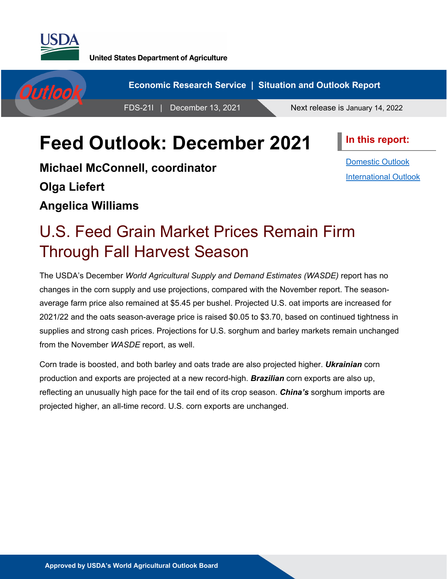

**United States Department of Agriculture** 



# **Feed Outlook: December 2021**

**In this report:**

**Michael McConnell, coordinator Olga Liefert Angelica Williams**

[Domestic Outlook](#page-1-0) [International Outlook](#page-13-0)

# U.S. Feed Grain Market Prices Remain Firm Through Fall Harvest Season

The USDA's December *World Agricultural Supply and Demand Estimates (WASDE)* report has no changes in the corn supply and use projections, compared with the November report. The seasonaverage farm price also remained at \$5.45 per bushel. Projected U.S. oat imports are increased for 2021/22 and the oats season-average price is raised \$0.05 to \$3.70, based on continued tightness in supplies and strong cash prices. Projections for U.S. sorghum and barley markets remain unchanged from the November *WASDE* report, as well.

Corn trade is boosted, and both barley and oats trade are also projected higher. *Ukrainian* corn production and exports are projected at a new record-high. *Brazilian* corn exports are also up, reflecting an unusually high pace for the tail end of its crop season. *China's* sorghum imports are projected higher, an all-time record. U.S. corn exports are unchanged.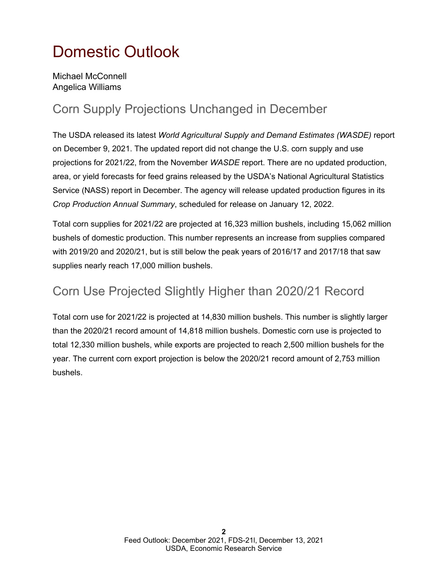# <span id="page-1-0"></span>Domestic Outlook

Michael McConnell Angelica Williams

## Corn Supply Projections Unchanged in December

The USDA released its latest *World Agricultural Supply and Demand Estimates (WASDE)* report on December 9, 2021. The updated report did not change the U.S. corn supply and use projections for 2021/22, from the November *WASDE* report. There are no updated production, area, or yield forecasts for feed grains released by the USDA's National Agricultural Statistics Service (NASS) report in December. The agency will release updated production figures in its *Crop Production Annual Summary*, scheduled for release on January 12, 2022.

Total corn supplies for 2021/22 are projected at 16,323 million bushels, including 15,062 million bushels of domestic production. This number represents an increase from supplies compared with 2019/20 and 2020/21, but is still below the peak years of 2016/17 and 2017/18 that saw supplies nearly reach 17,000 million bushels.

#### Corn Use Projected Slightly Higher than 2020/21 Record

Total corn use for 2021/22 is projected at 14,830 million bushels. This number is slightly larger than the 2020/21 record amount of 14,818 million bushels. Domestic corn use is projected to total 12,330 million bushels, while exports are projected to reach 2,500 million bushels for the year. The current corn export projection is below the 2020/21 record amount of 2,753 million bushels.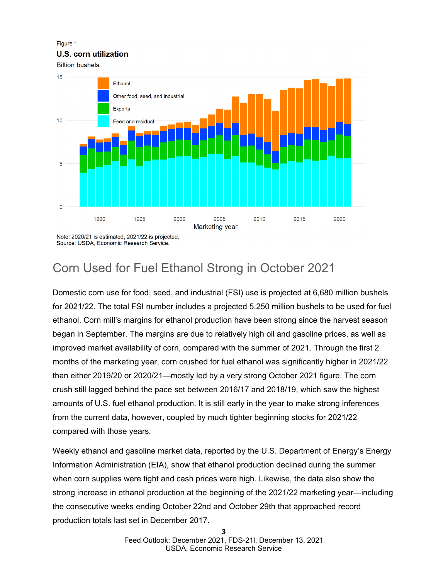Figure 1

#### **U.S. corn utilization**

**Billion bushels** 



Source: USDA, Economic Research Service.

## Corn Used for Fuel Ethanol Strong in October 2021

Domestic corn use for food, seed, and industrial (FSI) use is projected at 6,680 million bushels for 2021/22. The total FSI number includes a projected 5,250 million bushels to be used for fuel ethanol. Corn mill's margins for ethanol production have been strong since the harvest season began in September. The margins are due to relatively high oil and gasoline prices, as well as improved market availability of corn, compared with the summer of 2021. Through the first 2 months of the marketing year, corn crushed for fuel ethanol was significantly higher in 2021/22 than either 2019/20 or 2020/21—mostly led by a very strong October 2021 figure. The corn crush still lagged behind the pace set between 2016/17 and 2018/19, which saw the highest amounts of U.S. fuel ethanol production. It is still early in the year to make strong inferences from the current data, however, coupled by much tighter beginning stocks for 2021/22 compared with those years.

Weekly ethanol and gasoline market data, reported by the U.S. Department of Energy's Energy Information Administration (EIA), show that ethanol production declined during the summer when corn supplies were tight and cash prices were high. Likewise, the data also show the strong increase in ethanol production at the beginning of the 2021/22 marketing year—including the consecutive weeks ending October 22nd and October 29th that approached record production totals last set in December 2017.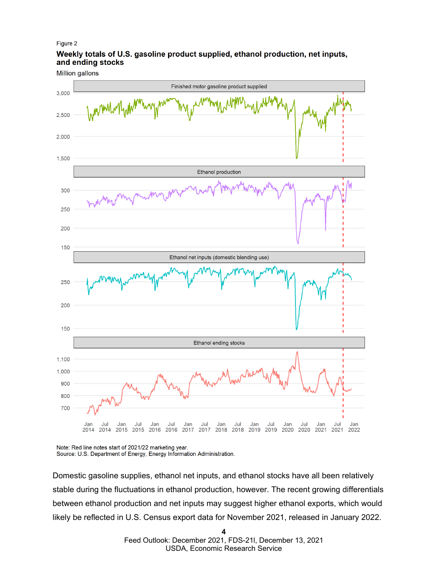#### Figure 2

#### Weekly totals of U.S. gasoline product supplied, ethanol production, net inputs, and ending stocks

**Million gallons** 



Note: Red line notes start of 2021/22 marketing year. Source: U.S. Department of Energy, Energy Information Administration.

Domestic gasoline supplies, ethanol net inputs, and ethanol stocks have all been relatively stable during the fluctuations in ethanol production, however. The recent growing differentials between ethanol production and net inputs may suggest higher ethanol exports, which would likely be reflected in U.S. Census export data for November 2021, released in January 2022.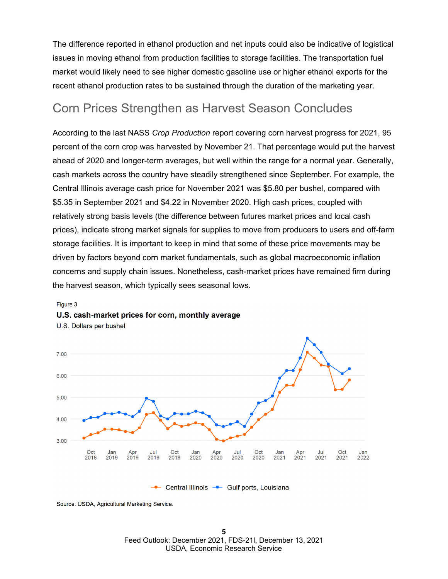The difference reported in ethanol production and net inputs could also be indicative of logistical issues in moving ethanol from production facilities to storage facilities. The transportation fuel market would likely need to see higher domestic gasoline use or higher ethanol exports for the recent ethanol production rates to be sustained through the duration of the marketing year.

#### Corn Prices Strengthen as Harvest Season Concludes

According to the last NASS *Crop Production* report covering corn harvest progress for 2021, 95 percent of the corn crop was harvested by November 21. That percentage would put the harvest ahead of 2020 and longer-term averages, but well within the range for a normal year. Generally, cash markets across the country have steadily strengthened since September. For example, the Central Illinois average cash price for November 2021 was \$5.80 per bushel, compared with \$5.35 in September 2021 and \$4.22 in November 2020. High cash prices, coupled with relatively strong basis levels (the difference between futures market prices and local cash prices), indicate strong market signals for supplies to move from producers to users and off-farm storage facilities. It is important to keep in mind that some of these price movements may be driven by factors beyond corn market fundamentals, such as global macroeconomic inflation concerns and supply chain issues. Nonetheless, cash-market prices have remained firm during the harvest season, which typically sees seasonal lows.

#### 7.00 6.00 5.00 4.00 3.00 Oct Oct Oct Jul Oct Jan Jul Jan Apr Jul Jan Apr Jan Apr 2018 2019 2019 2019 2019 2020 2020 2020 2020 2021 2021 2021 2021 2022 - Central Illinois - Gulf ports, Louisiana

U.S. Dollars per bushel

U.S. cash-market prices for corn. monthly average

Figure 3

Source: USDA, Agricultural Marketing Service.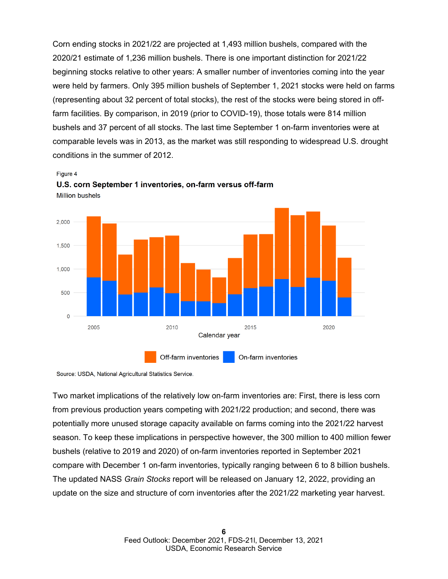Corn ending stocks in 2021/22 are projected at 1,493 million bushels, compared with the 2020/21 estimate of 1,236 million bushels. There is one important distinction for 2021/22 beginning stocks relative to other years: A smaller number of inventories coming into the year were held by farmers. Only 395 million bushels of September 1, 2021 stocks were held on farms (representing about 32 percent of total stocks), the rest of the stocks were being stored in offfarm facilities. By comparison, in 2019 (prior to COVID-19), those totals were 814 million bushels and 37 percent of all stocks. The last time September 1 on-farm inventories were at comparable levels was in 2013, as the market was still responding to widespread U.S. drought conditions in the summer of 2012.





U.S. corn September 1 inventories, on-farm versus off-farm **Million bushels** 

Source: USDA, National Agricultural Statistics Service.

Two market implications of the relatively low on-farm inventories are: First, there is less corn from previous production years competing with 2021/22 production; and second, there was potentially more unused storage capacity available on farms coming into the 2021/22 harvest season. To keep these implications in perspective however, the 300 million to 400 million fewer bushels (relative to 2019 and 2020) of on-farm inventories reported in September 2021 compare with December 1 on-farm inventories, typically ranging between 6 to 8 billion bushels. The updated NASS *Grain Stocks* report will be released on January 12, 2022, providing an update on the size and structure of corn inventories after the 2021/22 marketing year harvest.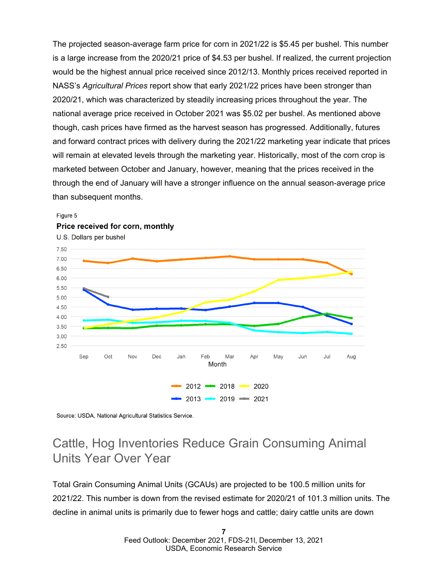The projected season-average farm price for corn in 2021/22 is \$5.45 per bushel. This number is a large increase from the 2020/21 price of \$4.53 per bushel. If realized, the current projection would be the highest annual price received since 2012/13. Monthly prices received reported in NASS's *Agricultural Prices* report show that early 2021/22 prices have been stronger than 2020/21, which was characterized by steadily increasing prices throughout the year. The national average price received in October 2021 was \$5.02 per bushel. As mentioned above though, cash prices have firmed as the harvest season has progressed. Additionally, futures and forward contract prices with delivery during the 2021/22 marketing year indicate that prices will remain at elevated levels through the marketing year. Historically, most of the corn crop is marketed between October and January, however, meaning that the prices received in the through the end of January will have a stronger influence on the annual season-average price than subsequent months.

![](_page_6_Figure_1.jpeg)

#### Figure 5 Price received for corn, monthly

Source: USDA, National Agricultural Statistics Service.

## Cattle, Hog Inventories Reduce Grain Consuming Animal Units Year Over Year

Total Grain Consuming Animal Units (GCAUs) are projected to be 100.5 million units for 2021/22. This number is down from the revised estimate for 2020/21 of 101.3 million units. The decline in animal units is primarily due to fewer hogs and cattle; dairy cattle units are down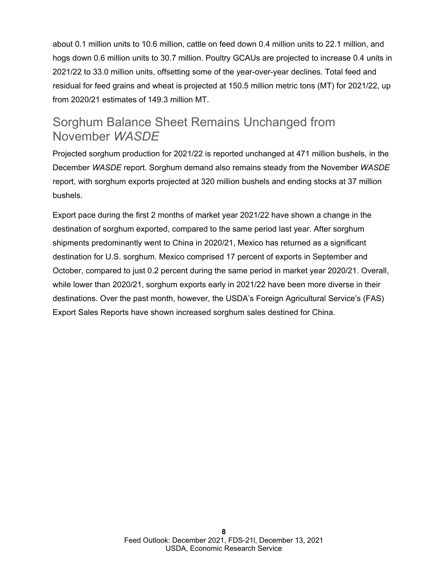about 0.1 million units to 10.6 million, cattle on feed down 0.4 million units to 22.1 million, and hogs down 0.6 million units to 30.7 million. Poultry GCAUs are projected to increase 0.4 units in 2021/22 to 33.0 million units, offsetting some of the year-over-year declines. Total feed and residual for feed grains and wheat is projected at 150.5 million metric tons (MT) for 2021/22, up from 2020/21 estimates of 149.3 million MT.

#### Sorghum Balance Sheet Remains Unchanged from November *WASDE*

Projected sorghum production for 2021/22 is reported unchanged at 471 million bushels, in the December *WASDE* report. Sorghum demand also remains steady from the November *WASDE*  report, with sorghum exports projected at 320 million bushels and ending stocks at 37 million bushels.

Export pace during the first 2 months of market year 2021/22 have shown a change in the destination of sorghum exported, compared to the same period last year. After sorghum shipments predominantly went to China in 2020/21, Mexico has returned as a significant destination for U.S. sorghum. Mexico comprised 17 percent of exports in September and October, compared to just 0.2 percent during the same period in market year 2020/21. Overall, while lower than 2020/21, sorghum exports early in 2021/22 have been more diverse in their destinations. Over the past month, however, the USDA's Foreign Agricultural Service's (FAS) Export Sales Reports have shown increased sorghum sales destined for China.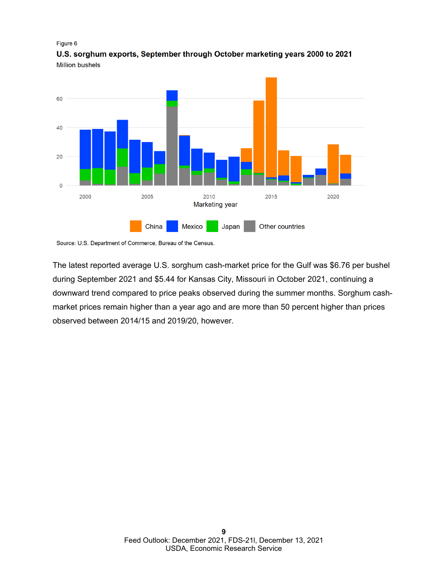#### Figure 6

60 40 20  $\overline{0}$ 2000 2005 2010 2015 2020 Marketing year China Mexico Japan Other countries

U.S. sorghum exports, September through October marketing years 2000 to 2021 **Million bushels** 

Source: U.S. Department of Commerce, Bureau of the Census.

The latest reported average U.S. sorghum cash-market price for the Gulf was \$6.76 per bushel during September 2021 and \$5.44 for Kansas City, Missouri in October 2021, continuing a downward trend compared to price peaks observed during the summer months. Sorghum cashmarket prices remain higher than a year ago and are more than 50 percent higher than prices observed between 2014/15 and 2019/20, however.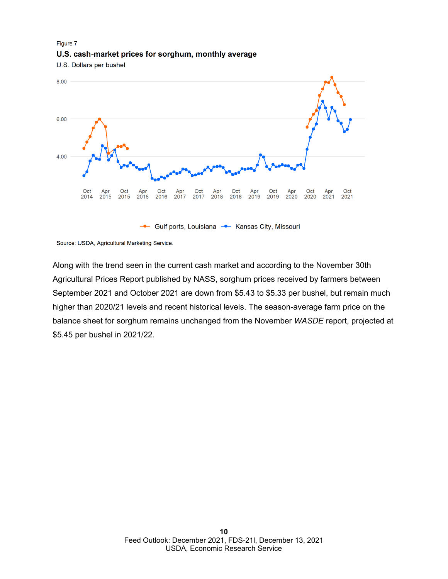#### Figure 7 U.S. cash-market prices for sorghum, monthly average

U.S. Dollars per bushel

![](_page_9_Figure_2.jpeg)

Source: USDA, Agricultural Marketing Service.

Along with the trend seen in the current cash market and according to the November 30th Agricultural Prices Report published by NASS, sorghum prices received by farmers between September 2021 and October 2021 are down from \$5.43 to \$5.33 per bushel, but remain much higher than 2020/21 levels and recent historical levels. The season-average farm price on the balance sheet for sorghum remains unchanged from the November *WASDE* report, projected at \$5.45 per bushel in 2021/22.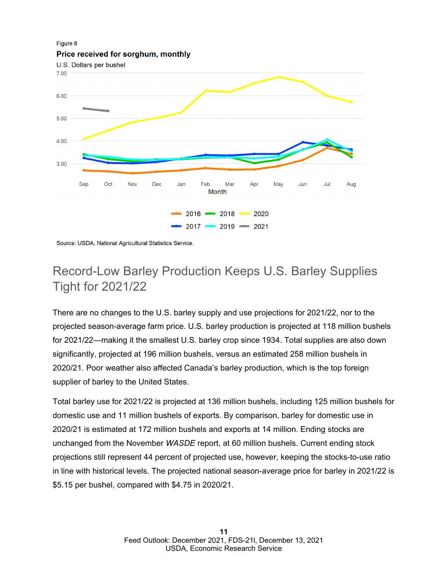![](_page_10_Figure_0.jpeg)

Source: USDA, National Agricultural Statistics Service.

## Record-Low Barley Production Keeps U.S. Barley Supplies Tight for 2021/22

There are no changes to the U.S. barley supply and use projections for 2021/22, nor to the projected season-average farm price. U.S. barley production is projected at 118 million bushels for 2021/22—making it the smallest U.S. barley crop since 1934. Total supplies are also down significantly, projected at 196 million bushels, versus an estimated 258 million bushels in 2020/21. Poor weather also affected Canada's barley production, which is the top foreign supplier of barley to the United States.

Total barley use for 2021/22 is projected at 136 million bushels, including 125 million bushels for domestic use and 11 million bushels of exports. By comparison, barley for domestic use in 2020/21 is estimated at 172 million bushels and exports at 14 million. Ending stocks are unchanged from the November *WASDE* report, at 60 million bushels. Current ending stock projections still represent 44 percent of projected use, however, keeping the stocks-to-use ratio in line with historical levels. The projected national season-average price for barley in 2021/22 is \$5.15 per bushel, compared with \$4.75 in 2020/21.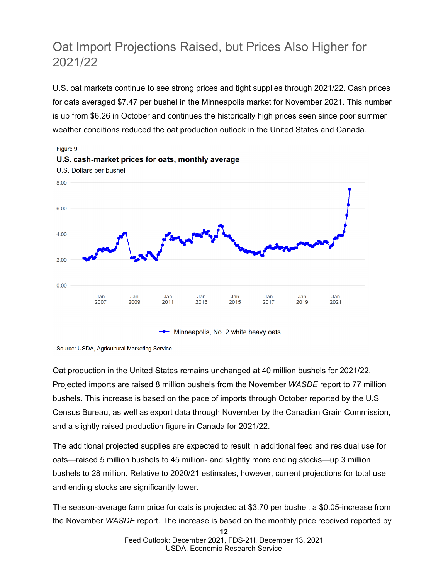## Oat Import Projections Raised, but Prices Also Higher for 2021/22

U.S. oat markets continue to see strong prices and tight supplies through 2021/22. Cash prices for oats averaged \$7.47 per bushel in the Minneapolis market for November 2021. This number is up from \$6.26 in October and continues the historically high prices seen since poor summer weather conditions reduced the oat production outlook in the United States and Canada.

![](_page_11_Figure_2.jpeg)

Source: USDA, Agricultural Marketing Service.

Oat production in the United States remains unchanged at 40 million bushels for 2021/22. Projected imports are raised 8 million bushels from the November *WASDE* report to 77 million bushels. This increase is based on the pace of imports through October reported by the U.S Census Bureau, as well as export data through November by the Canadian Grain Commission, and a slightly raised production figure in Canada for 2021/22.

The additional projected supplies are expected to result in additional feed and residual use for oats—raised 5 million bushels to 45 million- and slightly more ending stocks—up 3 million bushels to 28 million. Relative to 2020/21 estimates, however, current projections for total use and ending stocks are significantly lower.

The season-average farm price for oats is projected at \$3.70 per bushel, a \$0.05-increase from the November *WASDE* report. The increase is based on the monthly price received reported by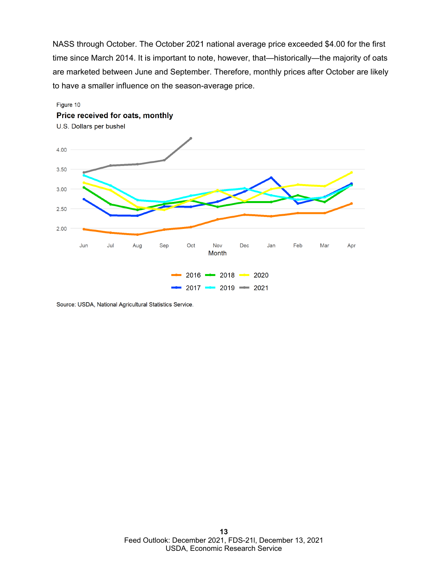NASS through October. The October 2021 national average price exceeded \$4.00 for the first time since March 2014. It is important to note, however, that—historically—the majority of oats are marketed between June and September. Therefore, monthly prices after October are likely to have a smaller influence on the season-average price.

![](_page_12_Figure_1.jpeg)

Source: USDA, National Agricultural Statistics Service.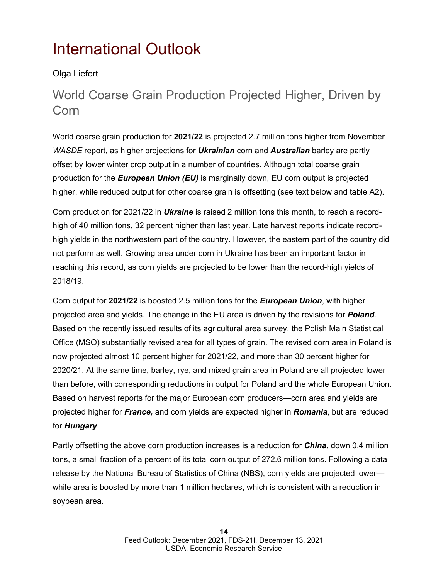# <span id="page-13-0"></span>International Outlook

#### Olga Liefert

## World Coarse Grain Production Projected Higher, Driven by Corn

World coarse grain production for **2021/22** is projected 2.7 million tons higher from November *WASDE* report, as higher projections for *Ukrainian* corn and *Australian* barley are partly offset by lower winter crop output in a number of countries. Although total coarse grain production for the *European Union (EU)* is marginally down, EU corn output is projected higher, while reduced output for other coarse grain is offsetting (see text below and table A2).

Corn production for 2021/22 in *Ukraine* is raised 2 million tons this month, to reach a recordhigh of 40 million tons, 32 percent higher than last year. Late harvest reports indicate recordhigh yields in the northwestern part of the country. However, the eastern part of the country did not perform as well. Growing area under corn in Ukraine has been an important factor in reaching this record, as corn yields are projected to be lower than the record-high yields of 2018/19.

Corn output for **2021/22** is boosted 2.5 million tons for the *European Union*, with higher projected area and yields. The change in the EU area is driven by the revisions for *Poland*. Based on the recently issued results of its agricultural area survey, the Polish Main Statistical Office (MSO) substantially revised area for all types of grain. The revised corn area in Poland is now projected almost 10 percent higher for 2021/22, and more than 30 percent higher for 2020/21. At the same time, barley, rye, and mixed grain area in Poland are all projected lower than before, with corresponding reductions in output for Poland and the whole European Union. Based on harvest reports for the major European corn producers—corn area and yields are projected higher for *France,* and corn yields are expected higher in *Romania*, but are reduced for *Hungary*.

Partly offsetting the above corn production increases is a reduction for *China*, down 0.4 million tons, a small fraction of a percent of its total corn output of 272.6 million tons. Following a data release by the National Bureau of Statistics of China (NBS), corn yields are projected lower while area is boosted by more than 1 million hectares, which is consistent with a reduction in soybean area.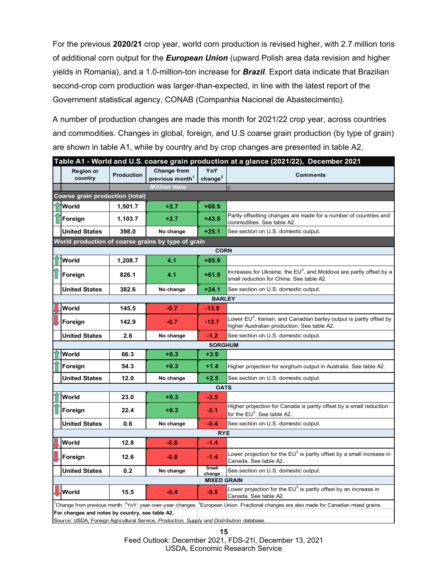For the previous **2020/21** crop year, world corn production is revised higher, with 2.7 million tons of additional corn output for the *European Union* (upward Polish area data revision and higher yields in Romania), and a 1.0-million-ton increase for *Brazil*. Export data indicate that Brazilian second-crop corn production was larger-than-expected, in line with the latest report of the Government statistical agency, CONAB (Companhia Nacional de Abastecimento).

A number of production changes are made this month for 2021/22 crop year, across countries and commodities. Changes in global, foreign, and U.S coarse grain production (by type of grain) are shown in table A1, while by country and by crop changes are presented in table A2.

| Table A1 - World and U.S. coarse grain production at a glance (2021/22), December 2021 |                                                                                                                                                                                                                                                                                                                                                                                                                                                                                                             |                   |                                                   |                            |                                                                                                                       |  |  |  |  |  |  |
|----------------------------------------------------------------------------------------|-------------------------------------------------------------------------------------------------------------------------------------------------------------------------------------------------------------------------------------------------------------------------------------------------------------------------------------------------------------------------------------------------------------------------------------------------------------------------------------------------------------|-------------------|---------------------------------------------------|----------------------------|-----------------------------------------------------------------------------------------------------------------------|--|--|--|--|--|--|
|                                                                                        | <b>Region or</b><br>country                                                                                                                                                                                                                                                                                                                                                                                                                                                                                 | <b>Production</b> | <b>Change from</b><br>previous month <sup>1</sup> | YoY<br>change <sup>2</sup> | <b>Comments</b>                                                                                                       |  |  |  |  |  |  |
|                                                                                        |                                                                                                                                                                                                                                                                                                                                                                                                                                                                                                             |                   | <b>Million tons</b>                               |                            | C                                                                                                                     |  |  |  |  |  |  |
|                                                                                        | Coarse grain production (total)                                                                                                                                                                                                                                                                                                                                                                                                                                                                             |                   |                                                   |                            |                                                                                                                       |  |  |  |  |  |  |
|                                                                                        | World                                                                                                                                                                                                                                                                                                                                                                                                                                                                                                       | 1,501.7           | $+2.7$                                            | $+68.9$                    |                                                                                                                       |  |  |  |  |  |  |
|                                                                                        | Foreign                                                                                                                                                                                                                                                                                                                                                                                                                                                                                                     | 1,103.7           | $+2.7$                                            | $+43.8$                    | Partly offsetting changes are made for a number of countries and<br>commodities. See table A2.                        |  |  |  |  |  |  |
|                                                                                        | <b>United States</b>                                                                                                                                                                                                                                                                                                                                                                                                                                                                                        | 398.0             | No change                                         | $+25.1$                    | See section on U.S. domestic output.                                                                                  |  |  |  |  |  |  |
| World production of coarse grains by type of grain                                     |                                                                                                                                                                                                                                                                                                                                                                                                                                                                                                             |                   |                                                   |                            |                                                                                                                       |  |  |  |  |  |  |
| <b>CORN</b>                                                                            |                                                                                                                                                                                                                                                                                                                                                                                                                                                                                                             |                   |                                                   |                            |                                                                                                                       |  |  |  |  |  |  |
|                                                                                        | World                                                                                                                                                                                                                                                                                                                                                                                                                                                                                                       | 1,208.7           | 4.1                                               | $+85.9$                    |                                                                                                                       |  |  |  |  |  |  |
|                                                                                        | Foreign                                                                                                                                                                                                                                                                                                                                                                                                                                                                                                     | 826.1             | 4.1                                               | $+61.8$                    | Increases for Ukraine, the $EU^3$ , and Moldova are partly offset by a<br>small reduction for China. See table A2.    |  |  |  |  |  |  |
|                                                                                        | <b>United States</b>                                                                                                                                                                                                                                                                                                                                                                                                                                                                                        | 382.6             | No change                                         | $+24.1$                    | See section on U.S. domestic output.                                                                                  |  |  |  |  |  |  |
|                                                                                        | <b>BARLEY</b>                                                                                                                                                                                                                                                                                                                                                                                                                                                                                               |                   |                                                   |                            |                                                                                                                       |  |  |  |  |  |  |
|                                                                                        | World                                                                                                                                                                                                                                                                                                                                                                                                                                                                                                       | 145.5             | $-0.7$                                            | $-13.9$                    |                                                                                                                       |  |  |  |  |  |  |
|                                                                                        | Foreign                                                                                                                                                                                                                                                                                                                                                                                                                                                                                                     | 142.9             | $-0.7$                                            | $-12.7$                    | Lower $EU^3$ , Iranian, and Canadian barley output is partly offset by<br>higher Australian production. See table A2. |  |  |  |  |  |  |
|                                                                                        | <b>United States</b>                                                                                                                                                                                                                                                                                                                                                                                                                                                                                        | 2.6               | No change                                         | $-1.2$                     | See section on U.S. domestic output.                                                                                  |  |  |  |  |  |  |
| <b>SORGHUM</b>                                                                         |                                                                                                                                                                                                                                                                                                                                                                                                                                                                                                             |                   |                                                   |                            |                                                                                                                       |  |  |  |  |  |  |
|                                                                                        | World                                                                                                                                                                                                                                                                                                                                                                                                                                                                                                       | 66.3              | $+0.3$                                            | $+3.9$                     |                                                                                                                       |  |  |  |  |  |  |
|                                                                                        | Foreign                                                                                                                                                                                                                                                                                                                                                                                                                                                                                                     | 54.3              | $+0.3$                                            | $+1.4$                     | Higher projection for sorghum output in Australia. See table A2.                                                      |  |  |  |  |  |  |
|                                                                                        | <b>United States</b>                                                                                                                                                                                                                                                                                                                                                                                                                                                                                        | 12.0              | No change                                         | $+2.5$                     | See section on U.S. domestic output.                                                                                  |  |  |  |  |  |  |
| <b>OATS</b>                                                                            |                                                                                                                                                                                                                                                                                                                                                                                                                                                                                                             |                   |                                                   |                            |                                                                                                                       |  |  |  |  |  |  |
|                                                                                        | World                                                                                                                                                                                                                                                                                                                                                                                                                                                                                                       | 23.0              | $+0.3$                                            | $-2.5$                     |                                                                                                                       |  |  |  |  |  |  |
|                                                                                        | Foreign                                                                                                                                                                                                                                                                                                                                                                                                                                                                                                     | 22.4              | $+0.3$                                            | $-2.1$                     | Higher projection for Canada is partly offset by a small reduction<br>for the EU $^3$ . See table A2.                 |  |  |  |  |  |  |
|                                                                                        | <b>United States</b>                                                                                                                                                                                                                                                                                                                                                                                                                                                                                        | 0.6               | No change                                         | -0.4                       | See section on U.S. domestic output.                                                                                  |  |  |  |  |  |  |
| <b>RYE</b>                                                                             |                                                                                                                                                                                                                                                                                                                                                                                                                                                                                                             |                   |                                                   |                            |                                                                                                                       |  |  |  |  |  |  |
|                                                                                        | World                                                                                                                                                                                                                                                                                                                                                                                                                                                                                                       | 12.8              | $-0.8$                                            | $-1.4$                     |                                                                                                                       |  |  |  |  |  |  |
|                                                                                        | Foreign                                                                                                                                                                                                                                                                                                                                                                                                                                                                                                     | 12.6              | $-0.8$                                            | $-1.4$                     | Lower projection for the $\mathsf{EU}^3$ is partly offset by a small increase in<br>Canada. See table A2.             |  |  |  |  |  |  |
|                                                                                        | <b>United States</b>                                                                                                                                                                                                                                                                                                                                                                                                                                                                                        | 0.2               | No change                                         | Small<br>change            | See section on U.S. domestic output.                                                                                  |  |  |  |  |  |  |
| <b>MIXED GRAIN</b>                                                                     |                                                                                                                                                                                                                                                                                                                                                                                                                                                                                                             |                   |                                                   |                            |                                                                                                                       |  |  |  |  |  |  |
|                                                                                        | World                                                                                                                                                                                                                                                                                                                                                                                                                                                                                                       | 15.5              | $-0.4$                                            | $-0.5$                     | Lower projection for the $EU^3$ is partly offset by an increase in<br>Canada. See table A2.                           |  |  |  |  |  |  |
|                                                                                        | 'Change from previous month. <sup>2</sup> YoY: year-over-year changes. <sup>3</sup> European Union. Fractional changes are also made for Canadian mixed grains.<br>For changes and notes by country, see table A2.<br>$\sim$ $\sim$ 110 DA. Foreign Amisedianal Osmission<br>Original consideration of the control of the control of the control of the control of the control of the control of the control of the control of the control of the control of the control of the control of the control of t |                   |                                                   |                            |                                                                                                                       |  |  |  |  |  |  |

Source: USDA, Foreign Agricultural Service, *Production, Supply and Distribution* database.

**15**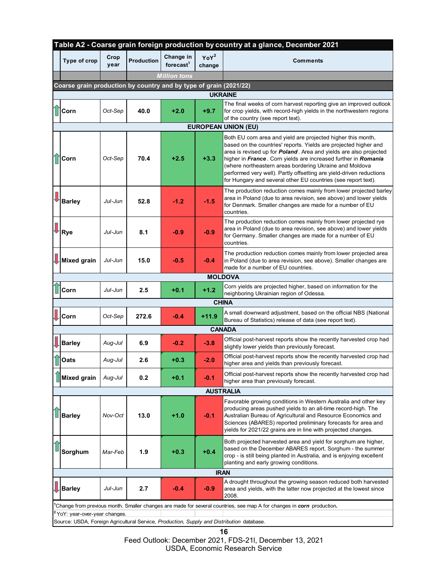|                                                                                           | Table A2 - Coarse grain foreign production by country at a glance, December 2021 |              |                   |                           |                   |                                                                                                                                                                                                                                                                                                                                                                                                                                                                                    |  |  |  |  |
|-------------------------------------------------------------------------------------------|----------------------------------------------------------------------------------|--------------|-------------------|---------------------------|-------------------|------------------------------------------------------------------------------------------------------------------------------------------------------------------------------------------------------------------------------------------------------------------------------------------------------------------------------------------------------------------------------------------------------------------------------------------------------------------------------------|--|--|--|--|
|                                                                                           | Type of crop                                                                     | Crop<br>year | <b>Production</b> | Change in<br>forecast $1$ | $YoY^2$<br>change | Comments                                                                                                                                                                                                                                                                                                                                                                                                                                                                           |  |  |  |  |
|                                                                                           |                                                                                  |              |                   | <b>Million</b> tons       |                   |                                                                                                                                                                                                                                                                                                                                                                                                                                                                                    |  |  |  |  |
| Coarse grain production by country and by type of grain (2021/22)                         |                                                                                  |              |                   |                           |                   |                                                                                                                                                                                                                                                                                                                                                                                                                                                                                    |  |  |  |  |
| <b>UKRAINE</b>                                                                            |                                                                                  |              |                   |                           |                   |                                                                                                                                                                                                                                                                                                                                                                                                                                                                                    |  |  |  |  |
|                                                                                           | <b>T</b> Corn                                                                    | Oct-Sep      | 40.0              | $+2.0$                    | $+9.7$            | The final weeks of corn harvest reporting give an improved outlook<br>for crop yields, with record-high yields in the northwestern regions<br>of the country (see report text).                                                                                                                                                                                                                                                                                                    |  |  |  |  |
|                                                                                           |                                                                                  |              |                   |                           |                   | <b>EUROPEAN UNION (EU)</b>                                                                                                                                                                                                                                                                                                                                                                                                                                                         |  |  |  |  |
| $\mathbf \hat{\mathbb T}$                                                                 | Corn                                                                             | Oct-Sep      | 70.4              | $+2.5$                    | $+3.3$            | Both EU corn area and yield are projected higher this month,<br>based on the countries' reports. Yields are projected higher and<br>area is revised up for <b>Poland</b> . Area and yields are also projected<br>higher in France. Corn yields are increased further in Romania<br>(where northeastern areas bordering Ukraine and Moldova<br>performed very well). Partly offsetting are yield-driven reductions<br>for Hungary and several other EU countries (see report text). |  |  |  |  |
|                                                                                           | <b>Barley</b>                                                                    | Jul-Jun      | 52.8              | $-1.2$                    | $-1.5$            | The production reduction comes mainly from lower projected barley<br>area in Poland (due to area revision, see above) and lower yields<br>for Denmark. Smaller changes are made for a number of EU<br>countries.                                                                                                                                                                                                                                                                   |  |  |  |  |
| J                                                                                         | Rye                                                                              | Jul-Jun      | 8.1               | $-0.9$                    | $-0.9$            | The production reduction comes mainly from lower projected rye<br>area in Poland (due to area revision, see above) and lower yields<br>for Germany. Smaller changes are made for a number of EU<br>countries.                                                                                                                                                                                                                                                                      |  |  |  |  |
|                                                                                           | Mixed grain                                                                      | Jul-Jun      | 15.0              | $-0.5$                    | $-0.4$            | The production reduction comes mainly from lower projected area<br>in Poland (due to area revision, see above). Smaller changes are<br>made for a number of EU countries.                                                                                                                                                                                                                                                                                                          |  |  |  |  |
| <b>MOLDOVA</b>                                                                            |                                                                                  |              |                   |                           |                   |                                                                                                                                                                                                                                                                                                                                                                                                                                                                                    |  |  |  |  |
|                                                                                           | Corn                                                                             | Jul-Jun      | 2.5               | $+0.1$                    | $+1.2$            | Corn yields are projected higher, based on information for the<br>neighboring Ukrainian region of Odessa.                                                                                                                                                                                                                                                                                                                                                                          |  |  |  |  |
| <b>CHINA</b>                                                                              |                                                                                  |              |                   |                           |                   |                                                                                                                                                                                                                                                                                                                                                                                                                                                                                    |  |  |  |  |
|                                                                                           | Corn                                                                             | Oct-Sep      | 272.6             | $-0.4$                    | $+11.9$           | A small downward adjustment, based on the official NBS (National<br>Bureau of Statistics) release of data (see report text).                                                                                                                                                                                                                                                                                                                                                       |  |  |  |  |
| <b>CANADA</b>                                                                             |                                                                                  |              |                   |                           |                   |                                                                                                                                                                                                                                                                                                                                                                                                                                                                                    |  |  |  |  |
|                                                                                           | <b>Barley</b>                                                                    | Aug-Jul      | 6.9               | $-0.2$                    | $-3.8$            | Official post-harvest reports show the recently harvested crop had<br>slightly lower yields than previously forecast.                                                                                                                                                                                                                                                                                                                                                              |  |  |  |  |
|                                                                                           | Oats                                                                             | Aug-Jul      | 2.6               | $+0.3$                    | $-2.0$            | Official post-harvest reports show the recently harvested crop had<br>higher area and yields than previously forecast.                                                                                                                                                                                                                                                                                                                                                             |  |  |  |  |
|                                                                                           | <b>Mixed grain</b>                                                               | Aug-Jul      | 0.2               | $+0.1$                    | $-0.1$            | Official post-harvest reports show the recently harvested crop had<br>higher area than previously forecast.                                                                                                                                                                                                                                                                                                                                                                        |  |  |  |  |
| <b>AUSTRALIA</b>                                                                          |                                                                                  |              |                   |                           |                   |                                                                                                                                                                                                                                                                                                                                                                                                                                                                                    |  |  |  |  |
|                                                                                           | <b>Barley</b>                                                                    | Nov-Oct      | 13.0              | $+1.0$                    | $-0.1$            | Favorable growing conditions in Western Australia and other key<br>producing areas pushed yields to an all-time record-high. The<br>Australian Bureau of Agricultural and Resource Economics and<br>Sciences (ABARES) reported preliminary forecasts for area and<br>yields for 2021/22 grains are in line with projected changes.                                                                                                                                                 |  |  |  |  |
|                                                                                           | Sorghum                                                                          | Mar-Feb      | 1.9               | $+0.3$                    | $+0.4$            | Both projected harvested area and yield for sorghum are higher,<br>based on the December ABARES report. Sorghum - the summer<br>crop - is still being planted in Australia, and is enjoying excellent<br>planting and early growing conditions.                                                                                                                                                                                                                                    |  |  |  |  |
| <b>IRAN</b>                                                                               |                                                                                  |              |                   |                           |                   |                                                                                                                                                                                                                                                                                                                                                                                                                                                                                    |  |  |  |  |
|                                                                                           | Barley                                                                           | Jul-Jun      | 2.7               | -0.4                      | $-0.9$            | A drought throughout the growing season reduced both harvested<br>area and yields, with the latter now projected at the lowest since<br>2008.                                                                                                                                                                                                                                                                                                                                      |  |  |  |  |
|                                                                                           |                                                                                  |              |                   |                           |                   | Change from previous month. Smaller changes are made for several countries, see map A for changes in <i>corn</i> production.                                                                                                                                                                                                                                                                                                                                                       |  |  |  |  |
|                                                                                           | <sup>2</sup> YoY: year-over-year changes.                                        |              |                   |                           |                   |                                                                                                                                                                                                                                                                                                                                                                                                                                                                                    |  |  |  |  |
| Source: USDA, Foreign Agricultural Service, Production, Supply and Distribution database. |                                                                                  |              |                   |                           |                   |                                                                                                                                                                                                                                                                                                                                                                                                                                                                                    |  |  |  |  |

**16**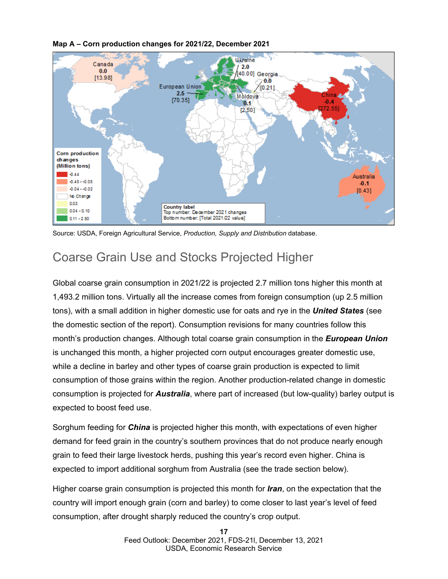![](_page_16_Figure_0.jpeg)

**Map A – Corn production changes for 2021/22, December 2021**

Source: USDA, Foreign Agricultural Service, *Production, Supply and Distribution* database.

## Coarse Grain Use and Stocks Projected Higher

Global coarse grain consumption in 2021/22 is projected 2.7 million tons higher this month at 1,493.2 million tons. Virtually all the increase comes from foreign consumption (up 2.5 million tons), with a small addition in higher domestic use for oats and rye in the *United States* (see the domestic section of the report). Consumption revisions for many countries follow this month's production changes. Although total coarse grain consumption in the *European Union* is unchanged this month, a higher projected corn output encourages greater domestic use, while a decline in barley and other types of coarse grain production is expected to limit consumption of those grains within the region. Another production-related change in domestic consumption is projected for *Australia*, where part of increased (but low-quality) barley output is expected to boost feed use.

Sorghum feeding for *China* is projected higher this month, with expectations of even higher demand for feed grain in the country's southern provinces that do not produce nearly enough grain to feed their large livestock herds, pushing this year's record even higher. China is expected to import additional sorghum from Australia (see the trade section below).

Higher coarse grain consumption is projected this month for *Iran*, on the expectation that the country will import enough grain (corn and barley) to come closer to last year's level of feed consumption, after drought sharply reduced the country's crop output.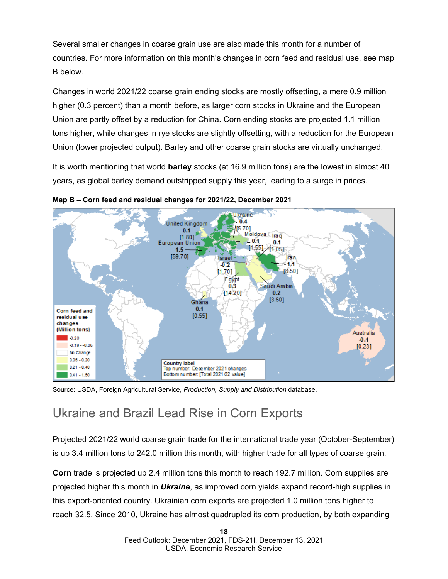Several smaller changes in coarse grain use are also made this month for a number of countries. For more information on this month's changes in corn feed and residual use, see map B below.

Changes in world 2021/22 coarse grain ending stocks are mostly offsetting, a mere 0.9 million higher (0.3 percent) than a month before, as larger corn stocks in Ukraine and the European Union are partly offset by a reduction for China. Corn ending stocks are projected 1.1 million tons higher, while changes in rye stocks are slightly offsetting, with a reduction for the European Union (lower projected output). Barley and other coarse grain stocks are virtually unchanged.

It is worth mentioning that world **barley** stocks (at 16.9 million tons) are the lowest in almost 40 years, as global barley demand outstripped supply this year, leading to a surge in prices.

![](_page_17_Figure_3.jpeg)

**Map B – Corn feed and residual changes for 2021/22, December 2021**

Source: USDA, Foreign Agricultural Service, *Production, Supply and Distribution* database.

## Ukraine and Brazil Lead Rise in Corn Exports

Projected 2021/22 world coarse grain trade for the international trade year (October-September) is up 3.4 million tons to 242.0 million this month, with higher trade for all types of coarse grain.

**Corn** trade is projected up 2.4 million tons this month to reach 192.7 million. Corn supplies are projected higher this month in *Ukraine*, as improved corn yields expand record-high supplies in this export-oriented country. Ukrainian corn exports are projected 1.0 million tons higher to reach 32.5. Since 2010, Ukraine has almost quadrupled its corn production, by both expanding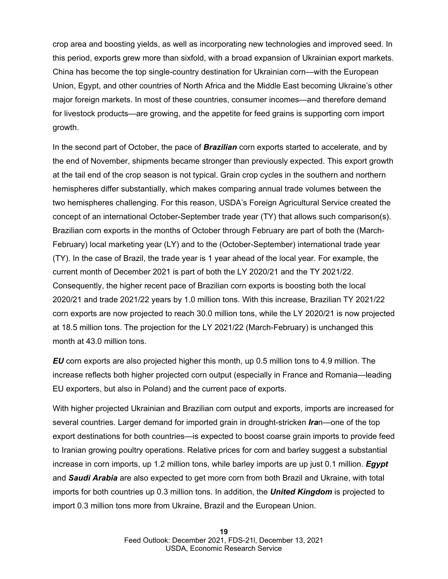crop area and boosting yields, as well as incorporating new technologies and improved seed. In this period, exports grew more than sixfold, with a broad expansion of Ukrainian export markets. China has become the top single-country destination for Ukrainian corn—with the European Union, Egypt, and other countries of North Africa and the Middle East becoming Ukraine's other major foreign markets. In most of these countries, consumer incomes—and therefore demand for livestock products—are growing, and the appetite for feed grains is supporting corn import growth.

In the second part of October, the pace of *Brazilian* corn exports started to accelerate, and by the end of November, shipments became stronger than previously expected. This export growth at the tail end of the crop season is not typical. Grain crop cycles in the southern and northern hemispheres differ substantially, which makes comparing annual trade volumes between the two hemispheres challenging. For this reason, USDA's Foreign Agricultural Service created the concept of an international October-September trade year (TY) that allows such comparison(s). Brazilian corn exports in the months of October through February are part of both the (March-February) local marketing year (LY) and to the (October-September) international trade year (TY). In the case of Brazil, the trade year is 1 year ahead of the local year. For example, the current month of December 2021 is part of both the LY 2020/21 and the TY 2021/22. Consequently, the higher recent pace of Brazilian corn exports is boosting both the local 2020/21 and trade 2021/22 years by 1.0 million tons. With this increase, Brazilian TY 2021/22 corn exports are now projected to reach 30.0 million tons, while the LY 2020/21 is now projected at 18.5 million tons. The projection for the LY 2021/22 (March-February) is unchanged this month at 43.0 million tons.

*EU* corn exports are also projected higher this month, up 0.5 million tons to 4.9 million. The increase reflects both higher projected corn output (especially in France and Romania—leading EU exporters, but also in Poland) and the current pace of exports.

With higher projected Ukrainian and Brazilian corn output and exports, imports are increased for several countries. Larger demand for imported grain in drought-stricken *Ira*n—one of the top export destinations for both countries—is expected to boost coarse grain imports to provide feed to Iranian growing poultry operations. Relative prices for corn and barley suggest a substantial increase in corn imports, up 1.2 million tons, while barley imports are up just 0.1 million. *Egypt* and *Saudi Arabia* are also expected to get more corn from both Brazil and Ukraine, with total imports for both countries up 0.3 million tons. In addition, the *United Kingdom* is projected to import 0.3 million tons more from Ukraine, Brazil and the European Union.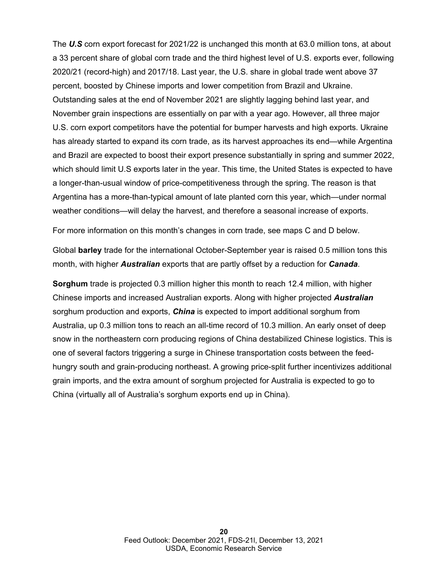The *U.S* corn export forecast for 2021/22 is unchanged this month at 63.0 million tons, at about a 33 percent share of global corn trade and the third highest level of U.S. exports ever, following 2020/21 (record-high) and 2017/18. Last year, the U.S. share in global trade went above 37 percent, boosted by Chinese imports and lower competition from Brazil and Ukraine. Outstanding sales at the end of November 2021 are slightly lagging behind last year, and November grain inspections are essentially on par with a year ago. However, all three major U.S. corn export competitors have the potential for bumper harvests and high exports. Ukraine has already started to expand its corn trade, as its harvest approaches its end—while Argentina and Brazil are expected to boost their export presence substantially in spring and summer 2022, which should limit U.S exports later in the year. This time, the United States is expected to have a longer-than-usual window of price-competitiveness through the spring. The reason is that Argentina has a more-than-typical amount of late planted corn this year, which—under normal weather conditions—will delay the harvest, and therefore a seasonal increase of exports.

For more information on this month's changes in corn trade, see maps C and D below.

Global **barley** trade for the international October-September year is raised 0.5 million tons this month, with higher *Australian* exports that are partly offset by a reduction for *Canada*.

**Sorghum** trade is projected 0.3 million higher this month to reach 12.4 million, with higher Chinese imports and increased Australian exports. Along with higher projected *Australian* sorghum production and exports, *China* is expected to import additional sorghum from Australia, up 0.3 million tons to reach an all-time record of 10.3 million. An early onset of deep snow in the northeastern corn producing regions of China destabilized Chinese logistics. This is one of several factors triggering a surge in Chinese transportation costs between the feedhungry south and grain-producing northeast. A growing price-split further incentivizes additional grain imports, and the extra amount of sorghum projected for Australia is expected to go to China (virtually all of Australia's sorghum exports end up in China).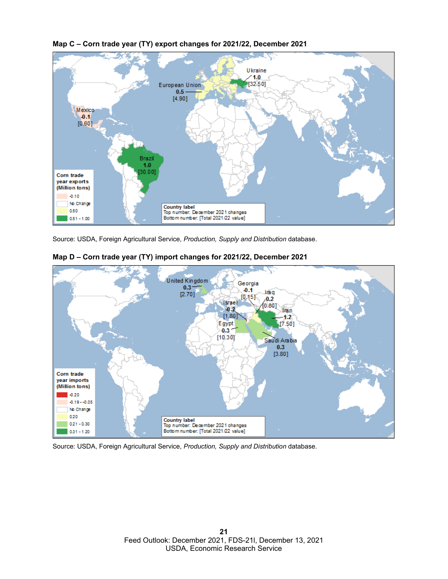![](_page_20_Figure_0.jpeg)

**Map C – Corn trade year (TY) export changes for 2021/22, December 2021**

Source: USDA, Foreign Agricultural Service, *Production, Supply and Distribution* database.

![](_page_20_Figure_3.jpeg)

![](_page_20_Figure_4.jpeg)

Source: USDA, Foreign Agricultural Service, *Production, Supply and Distribution* database.